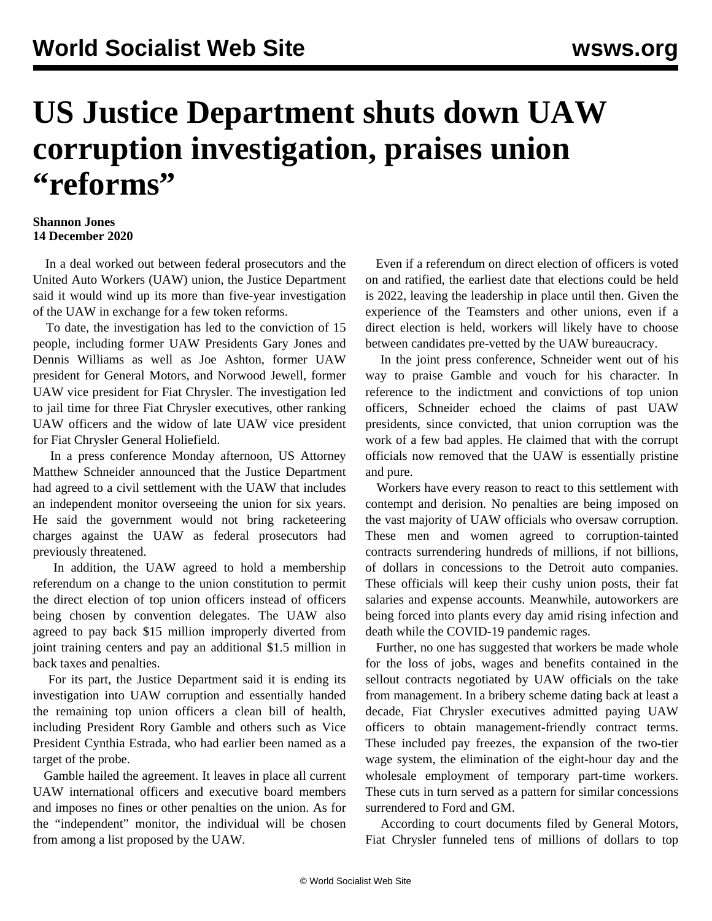## **US Justice Department shuts down UAW corruption investigation, praises union "reforms"**

## **Shannon Jones 14 December 2020**

 In a deal worked out between federal prosecutors and the United Auto Workers (UAW) union, the Justice Department said it would wind up its more than five-year investigation of the UAW in exchange for a few token reforms.

 To date, the investigation has led to the conviction of 15 people, including former UAW Presidents Gary Jones and Dennis Williams as well as Joe Ashton, former UAW president for General Motors, and Norwood Jewell, former UAW vice president for Fiat Chrysler. The investigation led to jail time for three Fiat Chrysler executives, other ranking UAW officers and the widow of late UAW vice president for Fiat Chrysler General Holiefield.

 In a press conference Monday afternoon, US Attorney Matthew Schneider announced that the Justice Department had agreed to a civil settlement with the UAW that includes an independent monitor overseeing the union for six years. He said the government would not bring racketeering charges against the UAW as federal prosecutors had previously threatened.

 In addition, the UAW agreed to hold a membership referendum on a change to the union constitution to permit the direct election of top union officers instead of officers being chosen by convention delegates. The UAW also agreed to pay back \$15 million improperly diverted from joint training centers and pay an additional \$1.5 million in back taxes and penalties.

 For its part, the Justice Department said it is ending its investigation into UAW corruption and essentially handed the remaining top union officers a clean bill of health, including President Rory Gamble and others such as Vice President Cynthia Estrada, who had earlier been named as a target of the probe.

 Gamble hailed the agreement. It leaves in place all current UAW international officers and executive board members and imposes no fines or other penalties on the union. As for the "independent" monitor, the individual will be chosen from among a list proposed by the UAW.

 Even if a referendum on direct election of officers is voted on and ratified, the earliest date that elections could be held is 2022, leaving the leadership in place until then. Given the experience of the Teamsters and other unions, even if a direct election is held, workers will likely have to choose between candidates pre-vetted by the UAW bureaucracy.

 In the joint press conference, Schneider went out of his way to praise Gamble and vouch for his character. In reference to the indictment and convictions of top union officers, Schneider echoed the claims of past UAW presidents, since convicted, that union corruption was the work of a few bad apples. He claimed that with the corrupt officials now removed that the UAW is essentially pristine and pure.

 Workers have every reason to react to this settlement with contempt and derision. No penalties are being imposed on the vast majority of UAW officials who oversaw corruption. These men and women agreed to corruption-tainted contracts surrendering hundreds of millions, if not billions, of dollars in concessions to the Detroit auto companies. These officials will keep their cushy union posts, their fat salaries and expense accounts. Meanwhile, autoworkers are being forced into plants every day amid rising infection and death while the COVID-19 pandemic rages.

 Further, no one has suggested that workers be made whole for the loss of jobs, wages and benefits contained in the sellout contracts negotiated by UAW officials on the take from management. In a bribery scheme dating back at least a decade, Fiat Chrysler executives admitted paying UAW officers to obtain management-friendly contract terms. These included pay freezes, the expansion of the two-tier wage system, the elimination of the eight-hour day and the wholesale employment of temporary part-time workers. These cuts in turn served as a pattern for similar concessions surrendered to Ford and GM.

 According to court [documents](/en/articles/2020/08/05/auto-a05.html) filed by General Motors, Fiat Chrysler funneled tens of millions of dollars to top